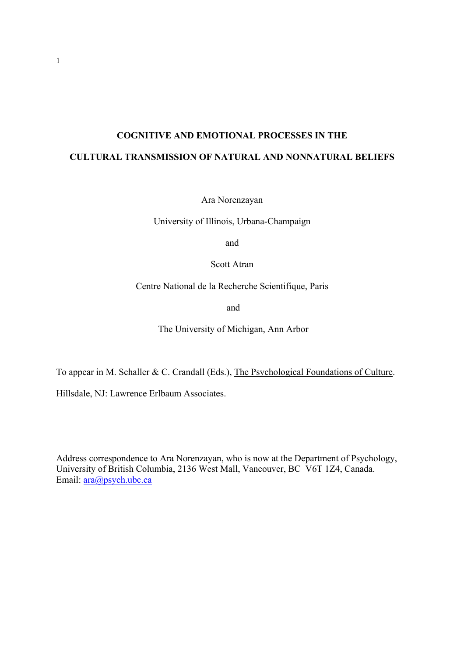# **COGNITIVE AND EMOTIONAL PROCESSES IN THE CULTURAL TRANSMISSION OF NATURAL AND NONNATURAL BELIEFS**

Ara Norenzayan

University of Illinois, Urbana-Champaign

and

Scott Atran

Centre National de la Recherche Scientifique, Paris

and

The University of Michigan, Ann Arbor

To appear in M. Schaller & C. Crandall (Eds.), The Psychological Foundations of Culture.

Hillsdale, NJ: Lawrence Erlbaum Associates.

Address correspondence to Ara Norenzayan, who is now at the Department of Psychology, University of British Columbia, 2136 West Mall, Vancouver, BC V6T 1Z4, Canada. Email:  $\frac{ara(0)$  psych.ubc.ca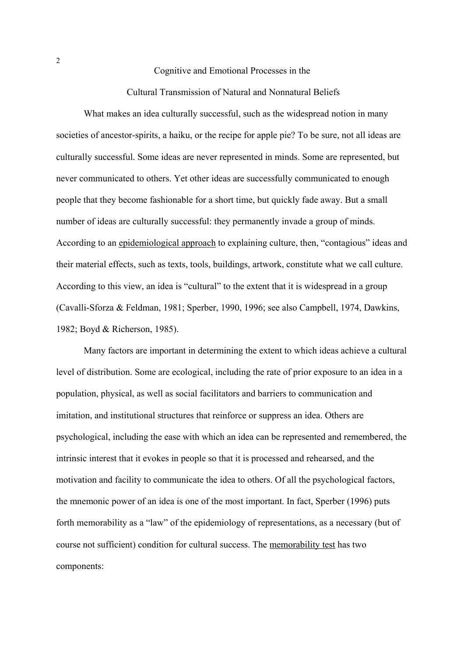#### Cognitive and Emotional Processes in the

Cultural Transmission of Natural and Nonnatural Beliefs

What makes an idea culturally successful, such as the widespread notion in many societies of ancestor-spirits, a haiku, or the recipe for apple pie? To be sure, not all ideas are culturally successful. Some ideas are never represented in minds. Some are represented, but never communicated to others. Yet other ideas are successfully communicated to enough people that they become fashionable for a short time, but quickly fade away. But a small number of ideas are culturally successful: they permanently invade a group of minds. According to an epidemiological approach to explaining culture, then, "contagious" ideas and their material effects, such as texts, tools, buildings, artwork, constitute what we call culture. According to this view, an idea is "cultural" to the extent that it is widespread in a group (Cavalli-Sforza & Feldman, 1981; Sperber, 1990, 1996; see also Campbell, 1974, Dawkins, 1982; Boyd & Richerson, 1985).

 Many factors are important in determining the extent to which ideas achieve a cultural level of distribution. Some are ecological, including the rate of prior exposure to an idea in a population, physical, as well as social facilitators and barriers to communication and imitation, and institutional structures that reinforce or suppress an idea. Others are psychological, including the ease with which an idea can be represented and remembered, the intrinsic interest that it evokes in people so that it is processed and rehearsed, and the motivation and facility to communicate the idea to others. Of all the psychological factors, the mnemonic power of an idea is one of the most important. In fact, Sperber (1996) puts forth memorability as a "law" of the epidemiology of representations, as a necessary (but of course not sufficient) condition for cultural success. The memorability test has two components: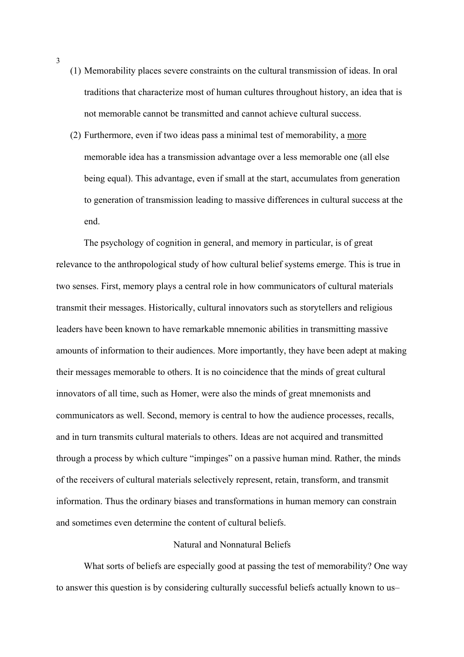- (1) Memorability places severe constraints on the cultural transmission of ideas. In oral traditions that characterize most of human cultures throughout history, an idea that is not memorable cannot be transmitted and cannot achieve cultural success.
- (2) Furthermore, even if two ideas pass a minimal test of memorability, a more memorable idea has a transmission advantage over a less memorable one (all else being equal). This advantage, even if small at the start, accumulates from generation to generation of transmission leading to massive differences in cultural success at the end.

 The psychology of cognition in general, and memory in particular, is of great relevance to the anthropological study of how cultural belief systems emerge. This is true in two senses. First, memory plays a central role in how communicators of cultural materials transmit their messages. Historically, cultural innovators such as storytellers and religious leaders have been known to have remarkable mnemonic abilities in transmitting massive amounts of information to their audiences. More importantly, they have been adept at making their messages memorable to others. It is no coincidence that the minds of great cultural innovators of all time, such as Homer, were also the minds of great mnemonists and communicators as well. Second, memory is central to how the audience processes, recalls, and in turn transmits cultural materials to others. Ideas are not acquired and transmitted through a process by which culture "impinges" on a passive human mind. Rather, the minds of the receivers of cultural materials selectively represent, retain, transform, and transmit information. Thus the ordinary biases and transformations in human memory can constrain and sometimes even determine the content of cultural beliefs.

## Natural and Nonnatural Beliefs

 What sorts of beliefs are especially good at passing the test of memorability? One way to answer this question is by considering culturally successful beliefs actually known to us–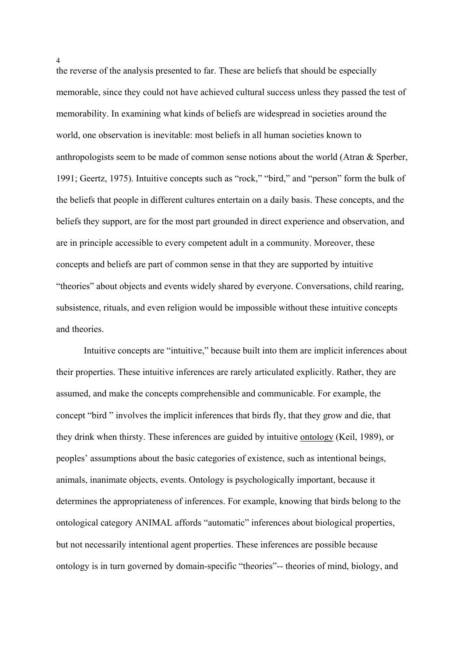the reverse of the analysis presented to far. These are beliefs that should be especially memorable, since they could not have achieved cultural success unless they passed the test of memorability. In examining what kinds of beliefs are widespread in societies around the world, one observation is inevitable: most beliefs in all human societies known to anthropologists seem to be made of common sense notions about the world (Atran & Sperber, 1991; Geertz, 1975). Intuitive concepts such as "rock," "bird," and "person" form the bulk of the beliefs that people in different cultures entertain on a daily basis. These concepts, and the beliefs they support, are for the most part grounded in direct experience and observation, and are in principle accessible to every competent adult in a community. Moreover, these concepts and beliefs are part of common sense in that they are supported by intuitive "theories" about objects and events widely shared by everyone. Conversations, child rearing, subsistence, rituals, and even religion would be impossible without these intuitive concepts and theories.

Intuitive concepts are "intuitive," because built into them are implicit inferences about their properties. These intuitive inferences are rarely articulated explicitly. Rather, they are assumed, and make the concepts comprehensible and communicable. For example, the concept "bird " involves the implicit inferences that birds fly, that they grow and die, that they drink when thirsty. These inferences are guided by intuitive ontology (Keil, 1989), or peoples' assumptions about the basic categories of existence, such as intentional beings, animals, inanimate objects, events. Ontology is psychologically important, because it determines the appropriateness of inferences. For example, knowing that birds belong to the ontological category ANIMAL affords "automatic" inferences about biological properties, but not necessarily intentional agent properties. These inferences are possible because ontology is in turn governed by domain-specific "theories"-- theories of mind, biology, and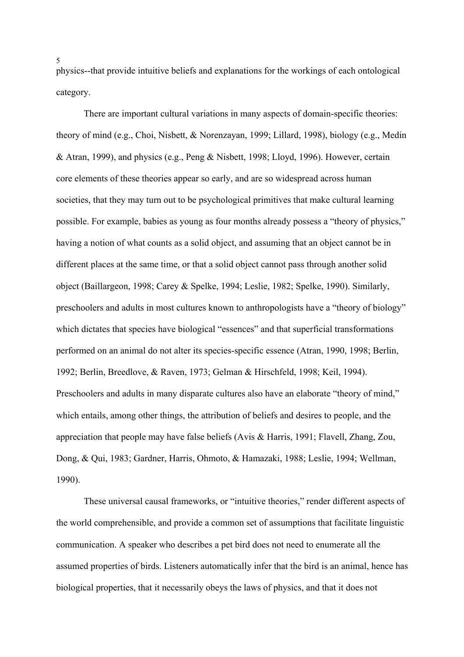physics--that provide intuitive beliefs and explanations for the workings of each ontological category.

There are important cultural variations in many aspects of domain-specific theories: theory of mind (e.g., Choi, Nisbett, & Norenzayan, 1999; Lillard, 1998), biology (e.g., Medin & Atran, 1999), and physics (e.g., Peng & Nisbett, 1998; Lloyd, 1996). However, certain core elements of these theories appear so early, and are so widespread across human societies, that they may turn out to be psychological primitives that make cultural learning possible. For example, babies as young as four months already possess a "theory of physics," having a notion of what counts as a solid object, and assuming that an object cannot be in different places at the same time, or that a solid object cannot pass through another solid object (Baillargeon, 1998; Carey & Spelke, 1994; Leslie, 1982; Spelke, 1990). Similarly, preschoolers and adults in most cultures known to anthropologists have a "theory of biology" which dictates that species have biological "essences" and that superficial transformations performed on an animal do not alter its species-specific essence (Atran, 1990, 1998; Berlin, 1992; Berlin, Breedlove, & Raven, 1973; Gelman & Hirschfeld, 1998; Keil, 1994). Preschoolers and adults in many disparate cultures also have an elaborate "theory of mind," which entails, among other things, the attribution of beliefs and desires to people, and the appreciation that people may have false beliefs (Avis & Harris, 1991; Flavell, Zhang, Zou, Dong, & Qui, 1983; Gardner, Harris, Ohmoto, & Hamazaki, 1988; Leslie, 1994; Wellman, 1990).

These universal causal frameworks, or "intuitive theories," render different aspects of the world comprehensible, and provide a common set of assumptions that facilitate linguistic communication. A speaker who describes a pet bird does not need to enumerate all the assumed properties of birds. Listeners automatically infer that the bird is an animal, hence has biological properties, that it necessarily obeys the laws of physics, and that it does not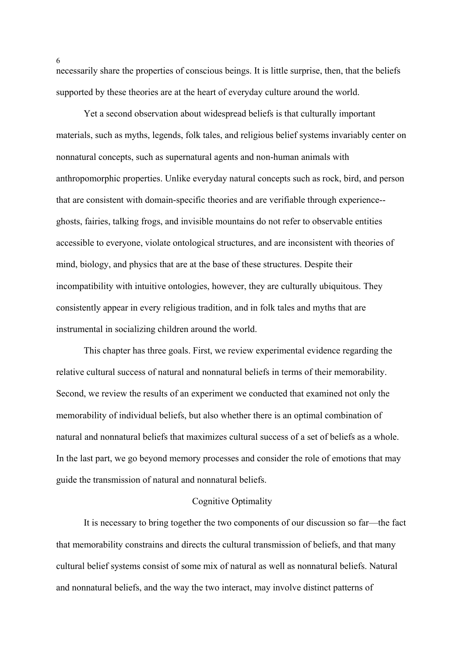necessarily share the properties of conscious beings. It is little surprise, then, that the beliefs supported by these theories are at the heart of everyday culture around the world.

Yet a second observation about widespread beliefs is that culturally important materials, such as myths, legends, folk tales, and religious belief systems invariably center on nonnatural concepts, such as supernatural agents and non-human animals with anthropomorphic properties. Unlike everyday natural concepts such as rock, bird, and person that are consistent with domain-specific theories and are verifiable through experience- ghosts, fairies, talking frogs, and invisible mountains do not refer to observable entities accessible to everyone, violate ontological structures, and are inconsistent with theories of mind, biology, and physics that are at the base of these structures. Despite their incompatibility with intuitive ontologies, however, they are culturally ubiquitous. They consistently appear in every religious tradition, and in folk tales and myths that are instrumental in socializing children around the world.

This chapter has three goals. First, we review experimental evidence regarding the relative cultural success of natural and nonnatural beliefs in terms of their memorability. Second, we review the results of an experiment we conducted that examined not only the memorability of individual beliefs, but also whether there is an optimal combination of natural and nonnatural beliefs that maximizes cultural success of a set of beliefs as a whole. In the last part, we go beyond memory processes and consider the role of emotions that may guide the transmission of natural and nonnatural beliefs.

### Cognitive Optimality

 It is necessary to bring together the two components of our discussion so far—the fact that memorability constrains and directs the cultural transmission of beliefs, and that many cultural belief systems consist of some mix of natural as well as nonnatural beliefs. Natural and nonnatural beliefs, and the way the two interact, may involve distinct patterns of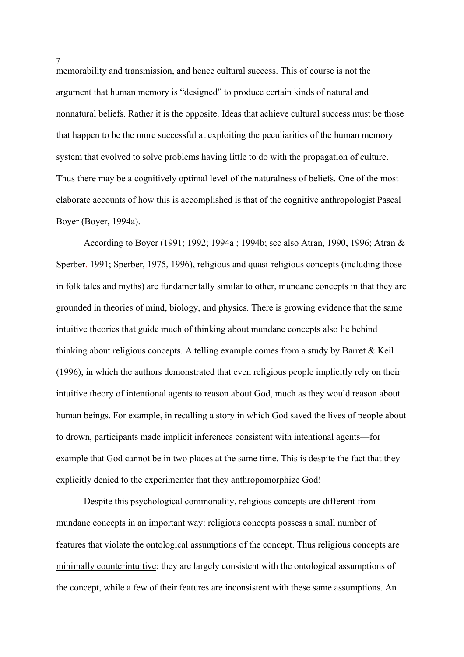memorability and transmission, and hence cultural success. This of course is not the argument that human memory is "designed" to produce certain kinds of natural and nonnatural beliefs. Rather it is the opposite. Ideas that achieve cultural success must be those that happen to be the more successful at exploiting the peculiarities of the human memory system that evolved to solve problems having little to do with the propagation of culture. Thus there may be a cognitively optimal level of the naturalness of beliefs. One of the most elaborate accounts of how this is accomplished is that of the cognitive anthropologist Pascal Boyer (Boyer, 1994a).

According to Boyer (1991; 1992; 1994a ; 1994b; see also Atran, 1990, 1996; Atran & Sperber, 1991; Sperber, 1975, 1996), religious and quasi-religious concepts (including those in folk tales and myths) are fundamentally similar to other, mundane concepts in that they are grounded in theories of mind, biology, and physics. There is growing evidence that the same intuitive theories that guide much of thinking about mundane concepts also lie behind thinking about religious concepts. A telling example comes from a study by Barret & Keil (1996), in which the authors demonstrated that even religious people implicitly rely on their intuitive theory of intentional agents to reason about God, much as they would reason about human beings. For example, in recalling a story in which God saved the lives of people about to drown, participants made implicit inferences consistent with intentional agents—for example that God cannot be in two places at the same time. This is despite the fact that they explicitly denied to the experimenter that they anthropomorphize God!

Despite this psychological commonality, religious concepts are different from mundane concepts in an important way: religious concepts possess a small number of features that violate the ontological assumptions of the concept. Thus religious concepts are minimally counterintuitive: they are largely consistent with the ontological assumptions of the concept, while a few of their features are inconsistent with these same assumptions. An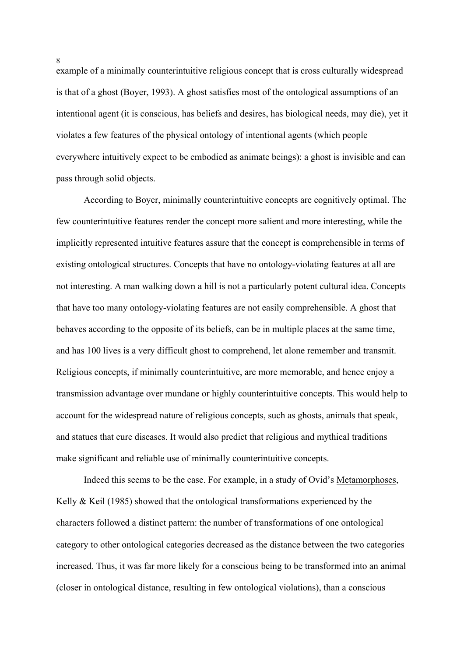example of a minimally counterintuitive religious concept that is cross culturally widespread is that of a ghost (Boyer, 1993). A ghost satisfies most of the ontological assumptions of an intentional agent (it is conscious, has beliefs and desires, has biological needs, may die), yet it violates a few features of the physical ontology of intentional agents (which people everywhere intuitively expect to be embodied as animate beings): a ghost is invisible and can pass through solid objects.

 According to Boyer, minimally counterintuitive concepts are cognitively optimal. The few counterintuitive features render the concept more salient and more interesting, while the implicitly represented intuitive features assure that the concept is comprehensible in terms of existing ontological structures. Concepts that have no ontology-violating features at all are not interesting. A man walking down a hill is not a particularly potent cultural idea. Concepts that have too many ontology-violating features are not easily comprehensible. A ghost that behaves according to the opposite of its beliefs, can be in multiple places at the same time, and has 100 lives is a very difficult ghost to comprehend, let alone remember and transmit. Religious concepts, if minimally counterintuitive, are more memorable, and hence enjoy a transmission advantage over mundane or highly counterintuitive concepts. This would help to account for the widespread nature of religious concepts, such as ghosts, animals that speak, and statues that cure diseases. It would also predict that religious and mythical traditions make significant and reliable use of minimally counterintuitive concepts.

Indeed this seems to be the case. For example, in a study of Ovid's Metamorphoses, Kelly  $&$  Keil (1985) showed that the ontological transformations experienced by the characters followed a distinct pattern: the number of transformations of one ontological category to other ontological categories decreased as the distance between the two categories increased. Thus, it was far more likely for a conscious being to be transformed into an animal (closer in ontological distance, resulting in few ontological violations), than a conscious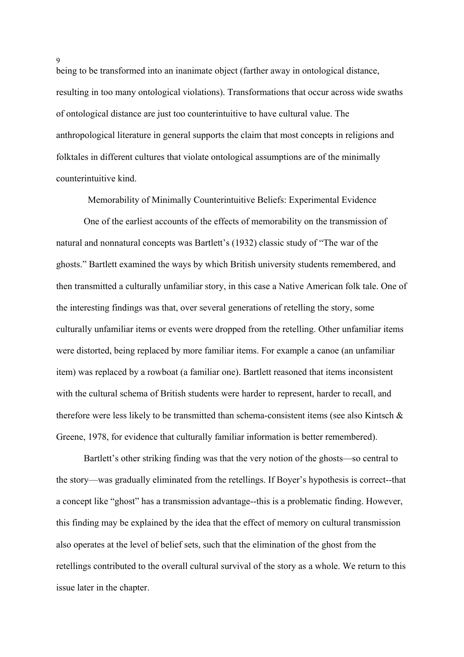being to be transformed into an inanimate object (farther away in ontological distance, resulting in too many ontological violations). Transformations that occur across wide swaths of ontological distance are just too counterintuitive to have cultural value. The anthropological literature in general supports the claim that most concepts in religions and folktales in different cultures that violate ontological assumptions are of the minimally counterintuitive kind.

Memorability of Minimally Counterintuitive Beliefs: Experimental Evidence

One of the earliest accounts of the effects of memorability on the transmission of natural and nonnatural concepts was Bartlett's (1932) classic study of "The war of the ghosts." Bartlett examined the ways by which British university students remembered, and then transmitted a culturally unfamiliar story, in this case a Native American folk tale. One of the interesting findings was that, over several generations of retelling the story, some culturally unfamiliar items or events were dropped from the retelling. Other unfamiliar items were distorted, being replaced by more familiar items. For example a canoe (an unfamiliar item) was replaced by a rowboat (a familiar one). Bartlett reasoned that items inconsistent with the cultural schema of British students were harder to represent, harder to recall, and therefore were less likely to be transmitted than schema-consistent items (see also Kintsch  $\&$ Greene, 1978, for evidence that culturally familiar information is better remembered).

 Bartlett's other striking finding was that the very notion of the ghosts—so central to the story—was gradually eliminated from the retellings. If Boyer's hypothesis is correct--that a concept like "ghost" has a transmission advantage--this is a problematic finding. However, this finding may be explained by the idea that the effect of memory on cultural transmission also operates at the level of belief sets, such that the elimination of the ghost from the retellings contributed to the overall cultural survival of the story as a whole. We return to this issue later in the chapter.

 $\overline{Q}$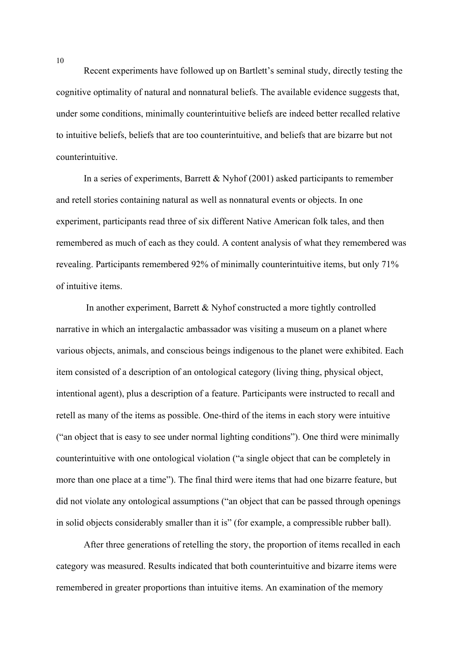Recent experiments have followed up on Bartlett's seminal study, directly testing the cognitive optimality of natural and nonnatural beliefs. The available evidence suggests that, under some conditions, minimally counterintuitive beliefs are indeed better recalled relative to intuitive beliefs, beliefs that are too counterintuitive, and beliefs that are bizarre but not counterintuitive.

In a series of experiments, Barrett  $&$  Nyhof (2001) asked participants to remember and retell stories containing natural as well as nonnatural events or objects. In one experiment, participants read three of six different Native American folk tales, and then remembered as much of each as they could. A content analysis of what they remembered was revealing. Participants remembered 92% of minimally counterintuitive items, but only 71% of intuitive items.

 In another experiment, Barrett & Nyhof constructed a more tightly controlled narrative in which an intergalactic ambassador was visiting a museum on a planet where various objects, animals, and conscious beings indigenous to the planet were exhibited. Each item consisted of a description of an ontological category (living thing, physical object, intentional agent), plus a description of a feature. Participants were instructed to recall and retell as many of the items as possible. One-third of the items in each story were intuitive ("an object that is easy to see under normal lighting conditions"). One third were minimally counterintuitive with one ontological violation ("a single object that can be completely in more than one place at a time"). The final third were items that had one bizarre feature, but did not violate any ontological assumptions ("an object that can be passed through openings in solid objects considerably smaller than it is" (for example, a compressible rubber ball).

After three generations of retelling the story, the proportion of items recalled in each category was measured. Results indicated that both counterintuitive and bizarre items were remembered in greater proportions than intuitive items. An examination of the memory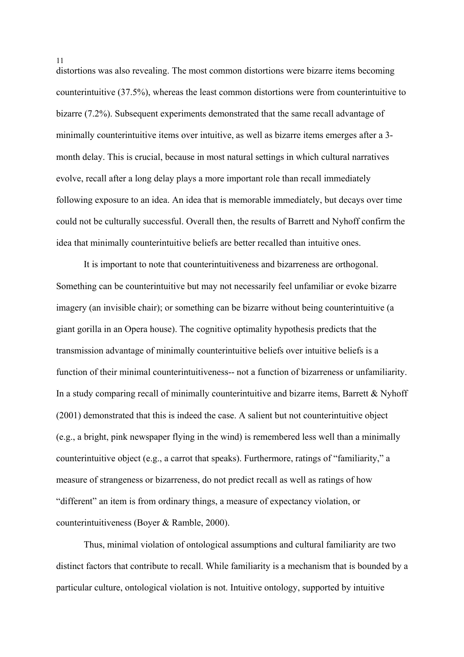distortions was also revealing. The most common distortions were bizarre items becoming counterintuitive (37.5%), whereas the least common distortions were from counterintuitive to bizarre (7.2%). Subsequent experiments demonstrated that the same recall advantage of minimally counterintuitive items over intuitive, as well as bizarre items emerges after a 3 month delay. This is crucial, because in most natural settings in which cultural narratives evolve, recall after a long delay plays a more important role than recall immediately following exposure to an idea. An idea that is memorable immediately, but decays over time could not be culturally successful. Overall then, the results of Barrett and Nyhoff confirm the idea that minimally counterintuitive beliefs are better recalled than intuitive ones.

It is important to note that counterintuitiveness and bizarreness are orthogonal. Something can be counterintuitive but may not necessarily feel unfamiliar or evoke bizarre imagery (an invisible chair); or something can be bizarre without being counterintuitive (a giant gorilla in an Opera house). The cognitive optimality hypothesis predicts that the transmission advantage of minimally counterintuitive beliefs over intuitive beliefs is a function of their minimal counterintuitiveness-- not a function of bizarreness or unfamiliarity. In a study comparing recall of minimally counterintuitive and bizarre items, Barrett  $\&$  Nyhoff (2001) demonstrated that this is indeed the case. A salient but not counterintuitive object (e.g., a bright, pink newspaper flying in the wind) is remembered less well than a minimally counterintuitive object (e.g., a carrot that speaks). Furthermore, ratings of "familiarity," a measure of strangeness or bizarreness, do not predict recall as well as ratings of how "different" an item is from ordinary things, a measure of expectancy violation, or counterintuitiveness (Boyer & Ramble, 2000).

Thus, minimal violation of ontological assumptions and cultural familiarity are two distinct factors that contribute to recall. While familiarity is a mechanism that is bounded by a particular culture, ontological violation is not. Intuitive ontology, supported by intuitive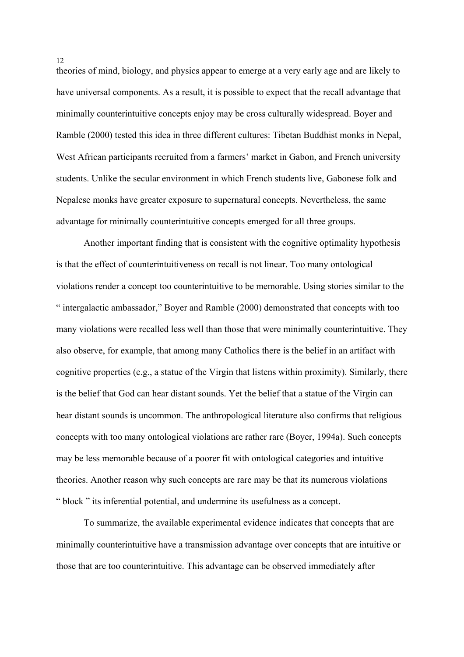theories of mind, biology, and physics appear to emerge at a very early age and are likely to have universal components. As a result, it is possible to expect that the recall advantage that minimally counterintuitive concepts enjoy may be cross culturally widespread. Boyer and Ramble (2000) tested this idea in three different cultures: Tibetan Buddhist monks in Nepal, West African participants recruited from a farmers' market in Gabon, and French university students. Unlike the secular environment in which French students live, Gabonese folk and Nepalese monks have greater exposure to supernatural concepts. Nevertheless, the same advantage for minimally counterintuitive concepts emerged for all three groups.

Another important finding that is consistent with the cognitive optimality hypothesis is that the effect of counterintuitiveness on recall is not linear. Too many ontological violations render a concept too counterintuitive to be memorable. Using stories similar to the " intergalactic ambassador," Boyer and Ramble (2000) demonstrated that concepts with too many violations were recalled less well than those that were minimally counterintuitive. They also observe, for example, that among many Catholics there is the belief in an artifact with cognitive properties (e.g., a statue of the Virgin that listens within proximity). Similarly, there is the belief that God can hear distant sounds. Yet the belief that a statue of the Virgin can hear distant sounds is uncommon. The anthropological literature also confirms that religious concepts with too many ontological violations are rather rare (Boyer, 1994a). Such concepts may be less memorable because of a poorer fit with ontological categories and intuitive theories. Another reason why such concepts are rare may be that its numerous violations " block " its inferential potential, and undermine its usefulness as a concept.

To summarize, the available experimental evidence indicates that concepts that are minimally counterintuitive have a transmission advantage over concepts that are intuitive or those that are too counterintuitive. This advantage can be observed immediately after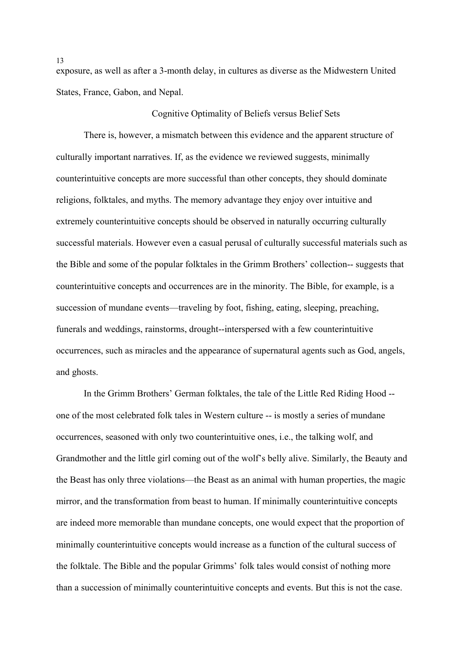exposure, as well as after a 3-month delay, in cultures as diverse as the Midwestern United States, France, Gabon, and Nepal.

#### Cognitive Optimality of Beliefs versus Belief Sets

There is, however, a mismatch between this evidence and the apparent structure of culturally important narratives. If, as the evidence we reviewed suggests, minimally counterintuitive concepts are more successful than other concepts, they should dominate religions, folktales, and myths. The memory advantage they enjoy over intuitive and extremely counterintuitive concepts should be observed in naturally occurring culturally successful materials. However even a casual perusal of culturally successful materials such as the Bible and some of the popular folktales in the Grimm Brothers' collection-- suggests that counterintuitive concepts and occurrences are in the minority. The Bible, for example, is a succession of mundane events—traveling by foot, fishing, eating, sleeping, preaching, funerals and weddings, rainstorms, drought--interspersed with a few counterintuitive occurrences, such as miracles and the appearance of supernatural agents such as God, angels, and ghosts.

In the Grimm Brothers' German folktales, the tale of the Little Red Riding Hood - one of the most celebrated folk tales in Western culture -- is mostly a series of mundane occurrences, seasoned with only two counterintuitive ones, i.e., the talking wolf, and Grandmother and the little girl coming out of the wolf's belly alive. Similarly, the Beauty and the Beast has only three violations—the Beast as an animal with human properties, the magic mirror, and the transformation from beast to human. If minimally counterintuitive concepts are indeed more memorable than mundane concepts, one would expect that the proportion of minimally counterintuitive concepts would increase as a function of the cultural success of the folktale. The Bible and the popular Grimms' folk tales would consist of nothing more than a succession of minimally counterintuitive concepts and events. But this is not the case.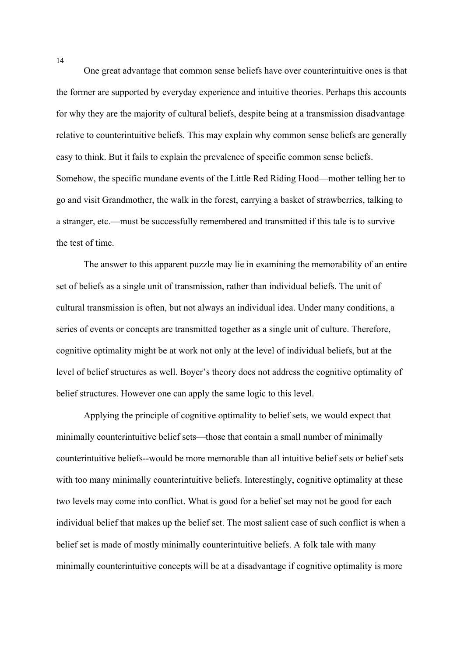One great advantage that common sense beliefs have over counterintuitive ones is that the former are supported by everyday experience and intuitive theories. Perhaps this accounts for why they are the majority of cultural beliefs, despite being at a transmission disadvantage relative to counterintuitive beliefs. This may explain why common sense beliefs are generally easy to think. But it fails to explain the prevalence of specific common sense beliefs. Somehow, the specific mundane events of the Little Red Riding Hood—mother telling her to go and visit Grandmother, the walk in the forest, carrying a basket of strawberries, talking to a stranger, etc.—must be successfully remembered and transmitted if this tale is to survive the test of time.

The answer to this apparent puzzle may lie in examining the memorability of an entire set of beliefs as a single unit of transmission, rather than individual beliefs. The unit of cultural transmission is often, but not always an individual idea. Under many conditions, a series of events or concepts are transmitted together as a single unit of culture. Therefore, cognitive optimality might be at work not only at the level of individual beliefs, but at the level of belief structures as well. Boyer's theory does not address the cognitive optimality of belief structures. However one can apply the same logic to this level.

Applying the principle of cognitive optimality to belief sets, we would expect that minimally counterintuitive belief sets—those that contain a small number of minimally counterintuitive beliefs--would be more memorable than all intuitive belief sets or belief sets with too many minimally counterintuitive beliefs. Interestingly, cognitive optimality at these two levels may come into conflict. What is good for a belief set may not be good for each individual belief that makes up the belief set. The most salient case of such conflict is when a belief set is made of mostly minimally counterintuitive beliefs. A folk tale with many minimally counterintuitive concepts will be at a disadvantage if cognitive optimality is more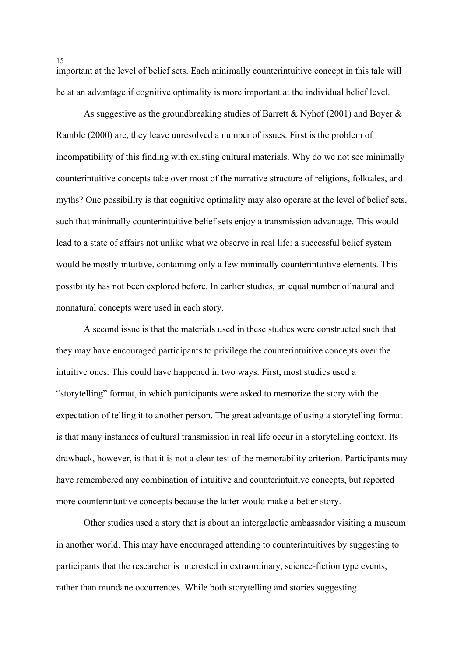important at the level of belief sets. Each minimally counterintuitive concept in this tale will be at an advantage if cognitive optimality is more important at the individual belief level.

As suggestive as the groundbreaking studies of Barrett & Nyhof (2001) and Boyer & Ramble (2000) are, they leave unresolved a number of issues. First is the problem of incompatibility of this finding with existing cultural materials. Why do we not see minimally counterintuitive concepts take over most of the narrative structure of religions, folktales, and myths? One possibility is that cognitive optimality may also operate at the level of belief sets, such that minimally counterintuitive belief sets enjoy a transmission advantage. This would lead to a state of affairs not unlike what we observe in real life: a successful belief system would be mostly intuitive, containing only a few minimally counterintuitive elements. This possibility has not been explored before. In earlier studies, an equal number of natural and nonnatural concepts were used in each story.

A second issue is that the materials used in these studies were constructed such that they may have encouraged participants to privilege the counterintuitive concepts over the intuitive ones. This could have happened in two ways. First, most studies used a "storytelling" format, in which participants were asked to memorize the story with the expectation of telling it to another person. The great advantage of using a storytelling format is that many instances of cultural transmission in real life occur in a storytelling context. Its drawback, however, is that it is not a clear test of the memorability criterion. Participants may have remembered any combination of intuitive and counterintuitive concepts, but reported more counterintuitive concepts because the latter would make a better story.

Other studies used a story that is about an intergalactic ambassador visiting a museum in another world. This may have encouraged attending to counterintuitives by suggesting to participants that the researcher is interested in extraordinary, science-fiction type events, rather than mundane occurrences. While both storytelling and stories suggesting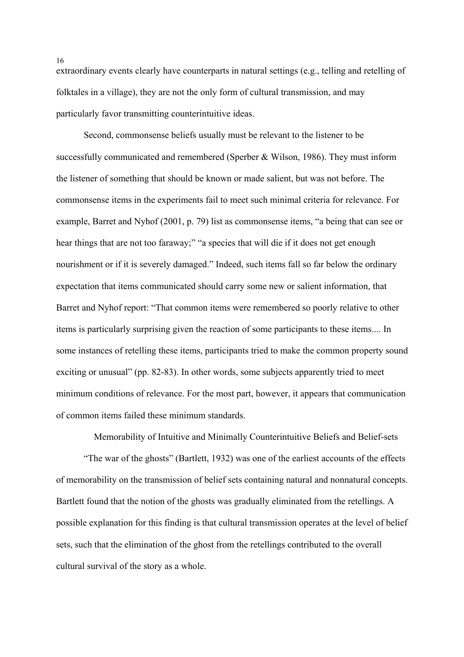extraordinary events clearly have counterparts in natural settings (e.g., telling and retelling of folktales in a village), they are not the only form of cultural transmission, and may particularly favor transmitting counterintuitive ideas.

Second, commonsense beliefs usually must be relevant to the listener to be successfully communicated and remembered (Sperber & Wilson, 1986). They must inform the listener of something that should be known or made salient, but was not before. The commonsense items in the experiments fail to meet such minimal criteria for relevance. For example, Barret and Nyhof (2001, p. 79) list as commonsense items, "a being that can see or hear things that are not too faraway;" "a species that will die if it does not get enough nourishment or if it is severely damaged." Indeed, such items fall so far below the ordinary expectation that items communicated should carry some new or salient information, that Barret and Nyhof report: "That common items were remembered so poorly relative to other items is particularly surprising given the reaction of some participants to these items.... In some instances of retelling these items, participants tried to make the common property sound exciting or unusual" (pp. 82-83). In other words, some subjects apparently tried to meet minimum conditions of relevance. For the most part, however, it appears that communication of common items failed these minimum standards.

Memorability of Intuitive and Minimally Counterintuitive Beliefs and Belief-sets "The war of the ghosts" (Bartlett, 1932) was one of the earliest accounts of the effects of memorability on the transmission of belief sets containing natural and nonnatural concepts. Bartlett found that the notion of the ghosts was gradually eliminated from the retellings. A possible explanation for this finding is that cultural transmission operates at the level of belief sets, such that the elimination of the ghost from the retellings contributed to the overall cultural survival of the story as a whole.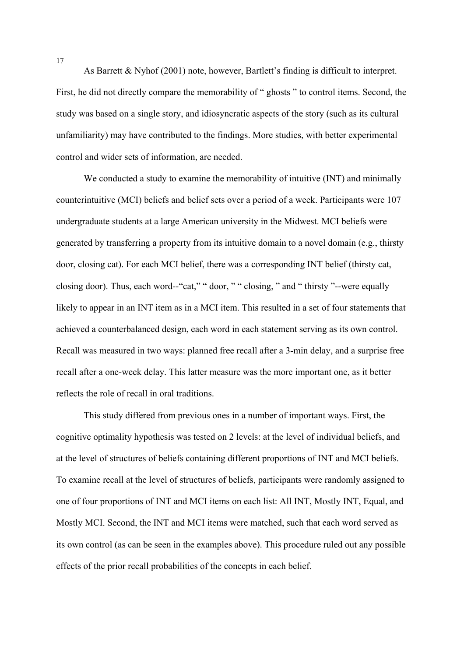As Barrett & Nyhof (2001) note, however, Bartlett's finding is difficult to interpret. First, he did not directly compare the memorability of " ghosts " to control items. Second, the study was based on a single story, and idiosyncratic aspects of the story (such as its cultural unfamiliarity) may have contributed to the findings. More studies, with better experimental control and wider sets of information, are needed.

 We conducted a study to examine the memorability of intuitive (INT) and minimally counterintuitive (MCI) beliefs and belief sets over a period of a week. Participants were 107 undergraduate students at a large American university in the Midwest. MCI beliefs were generated by transferring a property from its intuitive domain to a novel domain (e.g., thirsty door, closing cat). For each MCI belief, there was a corresponding INT belief (thirsty cat, closing door). Thus, each word--"cat," " door, " " closing, " and " thirsty "--were equally likely to appear in an INT item as in a MCI item. This resulted in a set of four statements that achieved a counterbalanced design, each word in each statement serving as its own control. Recall was measured in two ways: planned free recall after a 3-min delay, and a surprise free recall after a one-week delay. This latter measure was the more important one, as it better reflects the role of recall in oral traditions.

This study differed from previous ones in a number of important ways. First, the cognitive optimality hypothesis was tested on 2 levels: at the level of individual beliefs, and at the level of structures of beliefs containing different proportions of INT and MCI beliefs. To examine recall at the level of structures of beliefs, participants were randomly assigned to one of four proportions of INT and MCI items on each list: All INT, Mostly INT, Equal, and Mostly MCI. Second, the INT and MCI items were matched, such that each word served as its own control (as can be seen in the examples above). This procedure ruled out any possible effects of the prior recall probabilities of the concepts in each belief.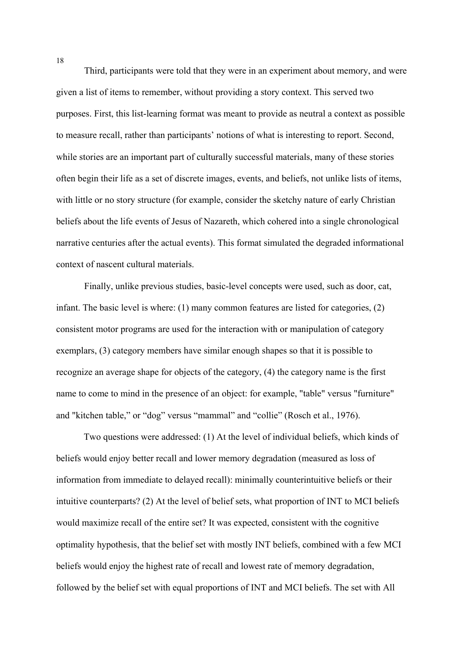Third, participants were told that they were in an experiment about memory, and were given a list of items to remember, without providing a story context. This served two purposes. First, this list-learning format was meant to provide as neutral a context as possible to measure recall, rather than participants' notions of what is interesting to report. Second, while stories are an important part of culturally successful materials, many of these stories often begin their life as a set of discrete images, events, and beliefs, not unlike lists of items, with little or no story structure (for example, consider the sketchy nature of early Christian beliefs about the life events of Jesus of Nazareth, which cohered into a single chronological narrative centuries after the actual events). This format simulated the degraded informational context of nascent cultural materials.

Finally, unlike previous studies, basic-level concepts were used, such as door, cat, infant. The basic level is where: (1) many common features are listed for categories, (2) consistent motor programs are used for the interaction with or manipulation of category exemplars, (3) category members have similar enough shapes so that it is possible to recognize an average shape for objects of the category, (4) the category name is the first name to come to mind in the presence of an object: for example, "table" versus "furniture" and "kitchen table," or "dog" versus "mammal" and "collie" (Rosch et al., 1976).

 Two questions were addressed: (1) At the level of individual beliefs, which kinds of beliefs would enjoy better recall and lower memory degradation (measured as loss of information from immediate to delayed recall): minimally counterintuitive beliefs or their intuitive counterparts? (2) At the level of belief sets, what proportion of INT to MCI beliefs would maximize recall of the entire set? It was expected, consistent with the cognitive optimality hypothesis, that the belief set with mostly INT beliefs, combined with a few MCI beliefs would enjoy the highest rate of recall and lowest rate of memory degradation, followed by the belief set with equal proportions of INT and MCI beliefs. The set with All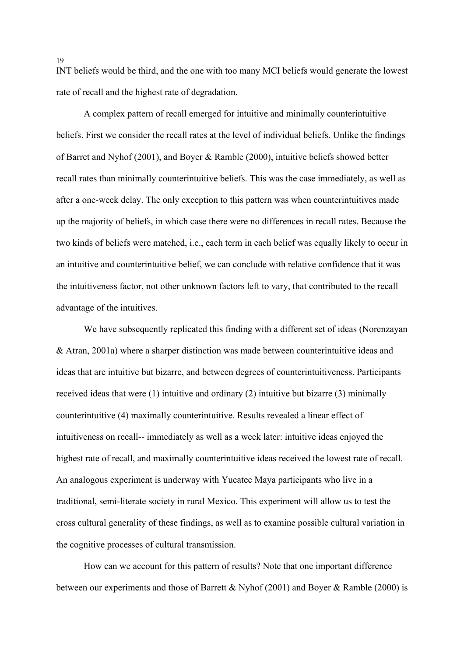INT beliefs would be third, and the one with too many MCI beliefs would generate the lowest rate of recall and the highest rate of degradation.

 A complex pattern of recall emerged for intuitive and minimally counterintuitive beliefs. First we consider the recall rates at the level of individual beliefs. Unlike the findings of Barret and Nyhof (2001), and Boyer & Ramble (2000), intuitive beliefs showed better recall rates than minimally counterintuitive beliefs. This was the case immediately, as well as after a one-week delay. The only exception to this pattern was when counterintuitives made up the majority of beliefs, in which case there were no differences in recall rates. Because the two kinds of beliefs were matched, i.e., each term in each belief was equally likely to occur in an intuitive and counterintuitive belief, we can conclude with relative confidence that it was the intuitiveness factor, not other unknown factors left to vary, that contributed to the recall advantage of the intuitives.

We have subsequently replicated this finding with a different set of ideas (Norenzayan & Atran, 2001a) where a sharper distinction was made between counterintuitive ideas and ideas that are intuitive but bizarre, and between degrees of counterintuitiveness. Participants received ideas that were (1) intuitive and ordinary (2) intuitive but bizarre (3) minimally counterintuitive (4) maximally counterintuitive. Results revealed a linear effect of intuitiveness on recall-- immediately as well as a week later: intuitive ideas enjoyed the highest rate of recall, and maximally counterintuitive ideas received the lowest rate of recall. An analogous experiment is underway with Yucatec Maya participants who live in a traditional, semi-literate society in rural Mexico. This experiment will allow us to test the cross cultural generality of these findings, as well as to examine possible cultural variation in the cognitive processes of cultural transmission.

How can we account for this pattern of results? Note that one important difference between our experiments and those of Barrett & Nyhof (2001) and Boyer & Ramble (2000) is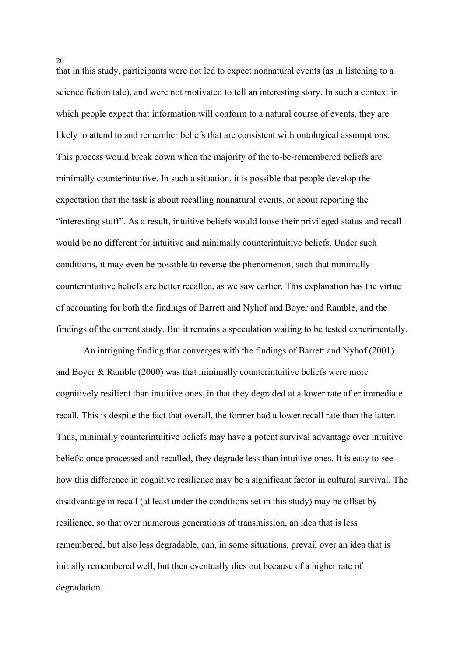that in this study, participants were not led to expect nonnatural events (as in listening to a science fiction tale), and were not motivated to tell an interesting story. In such a context in which people expect that information will conform to a natural course of events, they are likely to attend to and remember beliefs that are consistent with ontological assumptions. This process would break down when the majority of the to-be-remembered beliefs are minimally counterintuitive. In such a situation, it is possible that people develop the expectation that the task is about recalling nonnatural events, or about reporting the "interesting stuff". As a result, intuitive beliefs would loose their privileged status and recall would be no different for intuitive and minimally counterintuitive beliefs. Under such conditions, it may even be possible to reverse the phenomenon, such that minimally counterintuitive beliefs are better recalled, as we saw earlier. This explanation has the virtue of accounting for both the findings of Barrett and Nyhof and Boyer and Ramble, and the findings of the current study. But it remains a speculation waiting to be tested experimentally.

 An intriguing finding that converges with the findings of Barrett and Nyhof (2001) and Boyer & Ramble (2000) was that minimally counterintuitive beliefs were more cognitively resilient than intuitive ones, in that they degraded at a lower rate after immediate recall. This is despite the fact that overall, the former had a lower recall rate than the latter. Thus, minimally counterintuitive beliefs may have a potent survival advantage over intuitive beliefs: once processed and recalled, they degrade less than intuitive ones. It is easy to see how this difference in cognitive resilience may be a significant factor in cultural survival. The disadvantage in recall (at least under the conditions set in this study) may be offset by resilience, so that over numerous generations of transmission, an idea that is less remembered, but also less degradable, can, in some situations, prevail over an idea that is initially remembered well, but then eventually dies out because of a higher rate of degradation.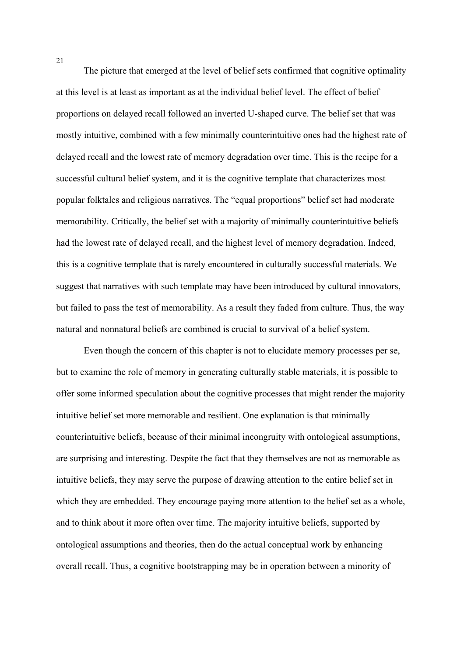The picture that emerged at the level of belief sets confirmed that cognitive optimality at this level is at least as important as at the individual belief level. The effect of belief proportions on delayed recall followed an inverted U-shaped curve. The belief set that was mostly intuitive, combined with a few minimally counterintuitive ones had the highest rate of delayed recall and the lowest rate of memory degradation over time. This is the recipe for a successful cultural belief system, and it is the cognitive template that characterizes most popular folktales and religious narratives. The "equal proportions" belief set had moderate memorability. Critically, the belief set with a majority of minimally counterintuitive beliefs had the lowest rate of delayed recall, and the highest level of memory degradation. Indeed, this is a cognitive template that is rarely encountered in culturally successful materials. We suggest that narratives with such template may have been introduced by cultural innovators, but failed to pass the test of memorability. As a result they faded from culture. Thus, the way natural and nonnatural beliefs are combined is crucial to survival of a belief system.

Even though the concern of this chapter is not to elucidate memory processes per se, but to examine the role of memory in generating culturally stable materials, it is possible to offer some informed speculation about the cognitive processes that might render the majority intuitive belief set more memorable and resilient. One explanation is that minimally counterintuitive beliefs, because of their minimal incongruity with ontological assumptions, are surprising and interesting. Despite the fact that they themselves are not as memorable as intuitive beliefs, they may serve the purpose of drawing attention to the entire belief set in which they are embedded. They encourage paying more attention to the belief set as a whole, and to think about it more often over time. The majority intuitive beliefs, supported by ontological assumptions and theories, then do the actual conceptual work by enhancing overall recall. Thus, a cognitive bootstrapping may be in operation between a minority of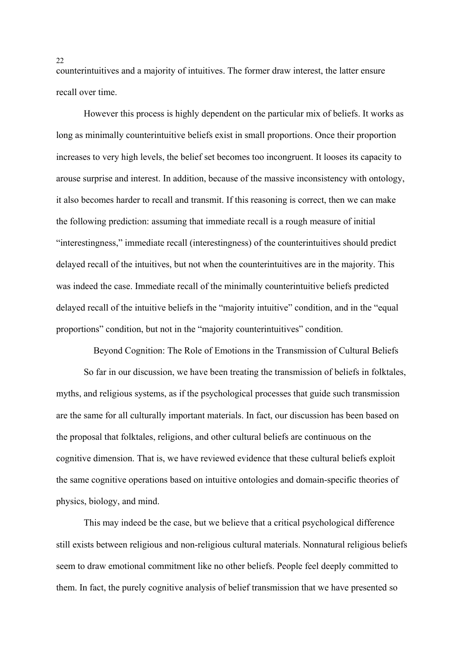counterintuitives and a majority of intuitives. The former draw interest, the latter ensure recall over time.

However this process is highly dependent on the particular mix of beliefs. It works as long as minimally counterintuitive beliefs exist in small proportions. Once their proportion increases to very high levels, the belief set becomes too incongruent. It looses its capacity to arouse surprise and interest. In addition, because of the massive inconsistency with ontology, it also becomes harder to recall and transmit. If this reasoning is correct, then we can make the following prediction: assuming that immediate recall is a rough measure of initial "interestingness," immediate recall (interestingness) of the counterintuitives should predict delayed recall of the intuitives, but not when the counterintuitives are in the majority. This was indeed the case. Immediate recall of the minimally counterintuitive beliefs predicted delayed recall of the intuitive beliefs in the "majority intuitive" condition, and in the "equal proportions" condition, but not in the "majority counterintuitives" condition.

Beyond Cognition: The Role of Emotions in the Transmission of Cultural Beliefs So far in our discussion, we have been treating the transmission of beliefs in folktales, myths, and religious systems, as if the psychological processes that guide such transmission are the same for all culturally important materials. In fact, our discussion has been based on the proposal that folktales, religions, and other cultural beliefs are continuous on the cognitive dimension. That is, we have reviewed evidence that these cultural beliefs exploit the same cognitive operations based on intuitive ontologies and domain-specific theories of physics, biology, and mind.

This may indeed be the case, but we believe that a critical psychological difference still exists between religious and non-religious cultural materials. Nonnatural religious beliefs seem to draw emotional commitment like no other beliefs. People feel deeply committed to them. In fact, the purely cognitive analysis of belief transmission that we have presented so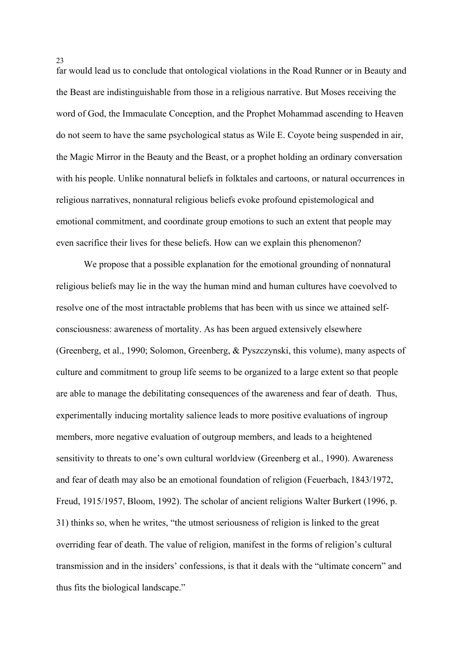far would lead us to conclude that ontological violations in the Road Runner or in Beauty and the Beast are indistinguishable from those in a religious narrative. But Moses receiving the word of God, the Immaculate Conception, and the Prophet Mohammad ascending to Heaven do not seem to have the same psychological status as Wile E. Coyote being suspended in air, the Magic Mirror in the Beauty and the Beast, or a prophet holding an ordinary conversation with his people. Unlike nonnatural beliefs in folktales and cartoons, or natural occurrences in religious narratives, nonnatural religious beliefs evoke profound epistemological and emotional commitment, and coordinate group emotions to such an extent that people may even sacrifice their lives for these beliefs. How can we explain this phenomenon?

We propose that a possible explanation for the emotional grounding of nonnatural religious beliefs may lie in the way the human mind and human cultures have coevolved to resolve one of the most intractable problems that has been with us since we attained selfconsciousness: awareness of mortality. As has been argued extensively elsewhere (Greenberg, et al., 1990; Solomon, Greenberg, & Pyszczynski, this volume), many aspects of culture and commitment to group life seems to be organized to a large extent so that people are able to manage the debilitating consequences of the awareness and fear of death. Thus, experimentally inducing mortality salience leads to more positive evaluations of ingroup members, more negative evaluation of outgroup members, and leads to a heightened sensitivity to threats to one's own cultural worldview (Greenberg et al., 1990). Awareness and fear of death may also be an emotional foundation of religion (Feuerbach, 1843/1972, Freud, 1915/1957, Bloom, 1992). The scholar of ancient religions Walter Burkert (1996, p. 31) thinks so, when he writes, "the utmost seriousness of religion is linked to the great overriding fear of death. The value of religion, manifest in the forms of religion's cultural transmission and in the insiders' confessions, is that it deals with the "ultimate concern" and thus fits the biological landscape."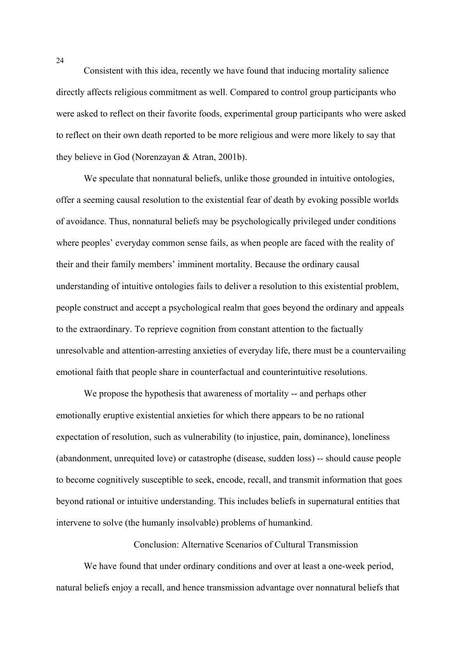Consistent with this idea, recently we have found that inducing mortality salience directly affects religious commitment as well. Compared to control group participants who were asked to reflect on their favorite foods, experimental group participants who were asked to reflect on their own death reported to be more religious and were more likely to say that they believe in God (Norenzayan & Atran, 2001b).

We speculate that nonnatural beliefs, unlike those grounded in intuitive ontologies, offer a seeming causal resolution to the existential fear of death by evoking possible worlds of avoidance. Thus, nonnatural beliefs may be psychologically privileged under conditions where peoples' everyday common sense fails, as when people are faced with the reality of their and their family members' imminent mortality. Because the ordinary causal understanding of intuitive ontologies fails to deliver a resolution to this existential problem, people construct and accept a psychological realm that goes beyond the ordinary and appeals to the extraordinary. To reprieve cognition from constant attention to the factually unresolvable and attention-arresting anxieties of everyday life, there must be a countervailing emotional faith that people share in counterfactual and counterintuitive resolutions.

We propose the hypothesis that awareness of mortality -- and perhaps other emotionally eruptive existential anxieties for which there appears to be no rational expectation of resolution, such as vulnerability (to injustice, pain, dominance), loneliness (abandonment, unrequited love) or catastrophe (disease, sudden loss) -- should cause people to become cognitively susceptible to seek, encode, recall, and transmit information that goes beyond rational or intuitive understanding. This includes beliefs in supernatural entities that intervene to solve (the humanly insolvable) problems of humankind.

Conclusion: Alternative Scenarios of Cultural Transmission

We have found that under ordinary conditions and over at least a one-week period, natural beliefs enjoy a recall, and hence transmission advantage over nonnatural beliefs that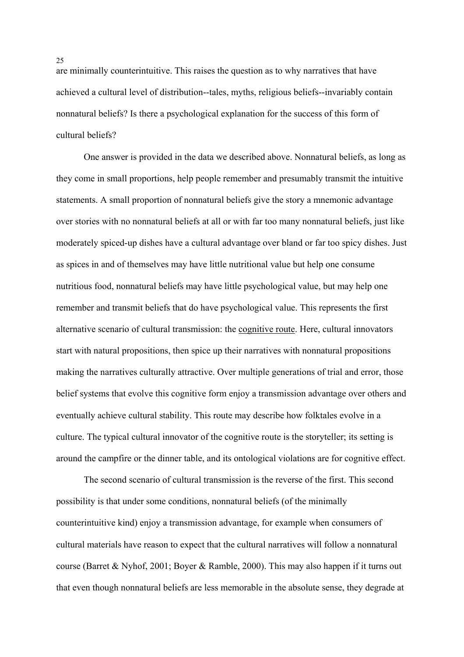are minimally counterintuitive. This raises the question as to why narratives that have achieved a cultural level of distribution--tales, myths, religious beliefs--invariably contain nonnatural beliefs? Is there a psychological explanation for the success of this form of cultural beliefs?

One answer is provided in the data we described above. Nonnatural beliefs, as long as they come in small proportions, help people remember and presumably transmit the intuitive statements. A small proportion of nonnatural beliefs give the story a mnemonic advantage over stories with no nonnatural beliefs at all or with far too many nonnatural beliefs, just like moderately spiced-up dishes have a cultural advantage over bland or far too spicy dishes. Just as spices in and of themselves may have little nutritional value but help one consume nutritious food, nonnatural beliefs may have little psychological value, but may help one remember and transmit beliefs that do have psychological value. This represents the first alternative scenario of cultural transmission: the cognitive route. Here, cultural innovators start with natural propositions, then spice up their narratives with nonnatural propositions making the narratives culturally attractive. Over multiple generations of trial and error, those belief systems that evolve this cognitive form enjoy a transmission advantage over others and eventually achieve cultural stability. This route may describe how folktales evolve in a culture. The typical cultural innovator of the cognitive route is the storyteller; its setting is around the campfire or the dinner table, and its ontological violations are for cognitive effect.

The second scenario of cultural transmission is the reverse of the first. This second possibility is that under some conditions, nonnatural beliefs (of the minimally counterintuitive kind) enjoy a transmission advantage, for example when consumers of cultural materials have reason to expect that the cultural narratives will follow a nonnatural course (Barret & Nyhof, 2001; Boyer & Ramble, 2000). This may also happen if it turns out that even though nonnatural beliefs are less memorable in the absolute sense, they degrade at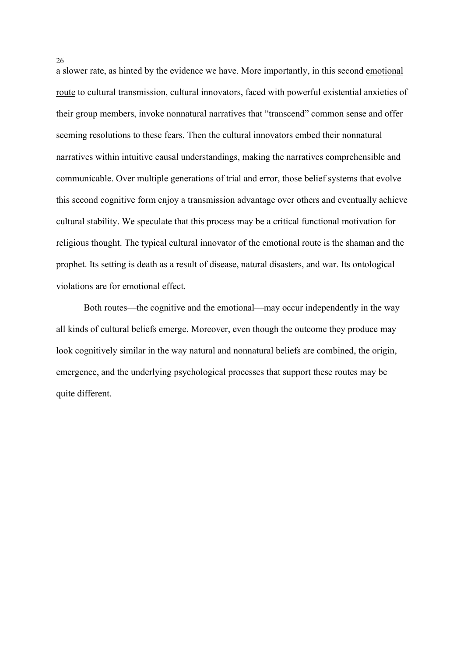a slower rate, as hinted by the evidence we have. More importantly, in this second emotional route to cultural transmission, cultural innovators, faced with powerful existential anxieties of their group members, invoke nonnatural narratives that "transcend" common sense and offer seeming resolutions to these fears. Then the cultural innovators embed their nonnatural narratives within intuitive causal understandings, making the narratives comprehensible and communicable. Over multiple generations of trial and error, those belief systems that evolve this second cognitive form enjoy a transmission advantage over others and eventually achieve cultural stability. We speculate that this process may be a critical functional motivation for religious thought. The typical cultural innovator of the emotional route is the shaman and the prophet. Its setting is death as a result of disease, natural disasters, and war. Its ontological violations are for emotional effect.

Both routes—the cognitive and the emotional—may occur independently in the way all kinds of cultural beliefs emerge. Moreover, even though the outcome they produce may look cognitively similar in the way natural and nonnatural beliefs are combined, the origin, emergence, and the underlying psychological processes that support these routes may be quite different.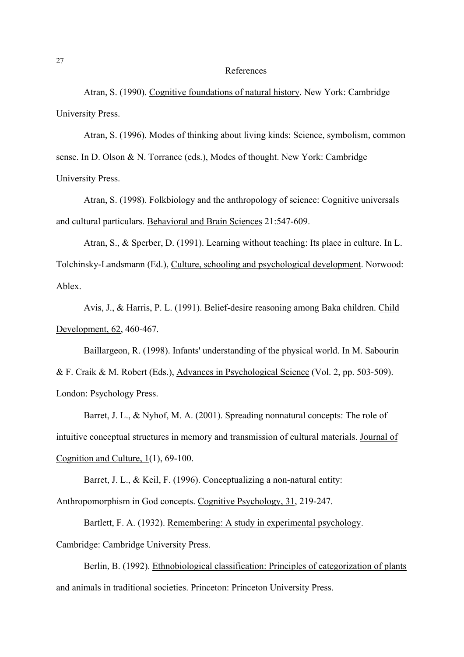#### References

 Atran, S. (1990). Cognitive foundations of natural history. New York: Cambridge University Press.

 Atran, S. (1996). Modes of thinking about living kinds: Science, symbolism, common sense. In D. Olson & N. Torrance (eds.), Modes of thought. New York: Cambridge University Press.

 Atran, S. (1998). Folkbiology and the anthropology of science: Cognitive universals and cultural particulars. Behavioral and Brain Sciences 21:547-609.

 Atran, S., & Sperber, D. (1991). Learning without teaching: Its place in culture. In L. Tolchinsky-Landsmann (Ed.), Culture, schooling and psychological development. Norwood: Ablex.

 Avis, J., & Harris, P. L. (1991). Belief-desire reasoning among Baka children. Child Development, 62, 460-467.

 Baillargeon, R. (1998). Infants' understanding of the physical world. In M. Sabourin & F. Craik & M. Robert (Eds.), Advances in Psychological Science (Vol. 2, pp. 503-509). London: Psychology Press.

 Barret, J. L., & Nyhof, M. A. (2001). Spreading nonnatural concepts: The role of intuitive conceptual structures in memory and transmission of cultural materials. Journal of Cognition and Culture, 1(1), 69-100.

Barret, J. L., & Keil, F. (1996). Conceptualizing a non-natural entity:

Anthropomorphism in God concepts. Cognitive Psychology, 31, 219-247.

 Bartlett, F. A. (1932). Remembering: A study in experimental psychology. Cambridge: Cambridge University Press.

 Berlin, B. (1992). Ethnobiological classification: Principles of categorization of plants and animals in traditional societies. Princeton: Princeton University Press.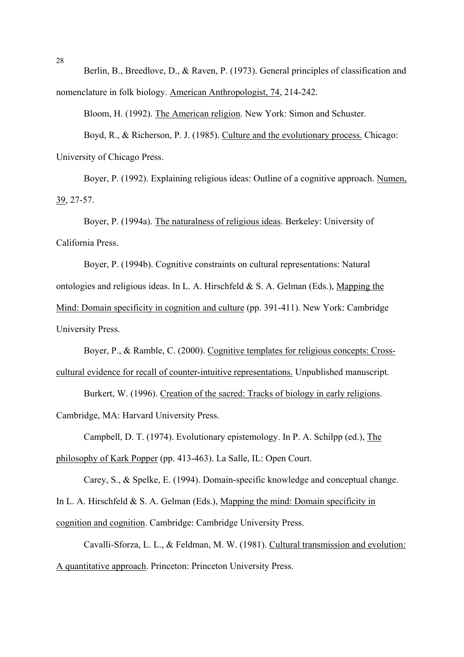Berlin, B., Breedlove, D., & Raven, P. (1973). General principles of classification and nomenclature in folk biology. American Anthropologist, 74, 214-242.

Bloom, H. (1992). The American religion. New York: Simon and Schuster.

Boyd, R., & Richerson, P. J. (1985). Culture and the evolutionary process. Chicago: University of Chicago Press.

 Boyer, P. (1992). Explaining religious ideas: Outline of a cognitive approach. Numen, 39, 27-57.

 Boyer, P. (1994a). The naturalness of religious ideas. Berkeley: University of California Press.

 Boyer, P. (1994b). Cognitive constraints on cultural representations: Natural ontologies and religious ideas. In L. A. Hirschfeld & S. A. Gelman (Eds.), Mapping the Mind: Domain specificity in cognition and culture (pp. 391-411). New York: Cambridge University Press.

 Boyer, P., & Ramble, C. (2000). Cognitive templates for religious concepts: Crosscultural evidence for recall of counter-intuitive representations. Unpublished manuscript.

 Burkert, W. (1996). Creation of the sacred: Tracks of biology in early religions. Cambridge, MA: Harvard University Press.

Campbell, D. T. (1974). Evolutionary epistemology. In P. A. Schilpp (ed.), The

philosophy of Kark Popper (pp. 413-463). La Salle, IL: Open Court.

Carey, S., & Spelke, E. (1994). Domain-specific knowledge and conceptual change.

In L. A. Hirschfeld  $& S. A.$  Gelman (Eds.), Mapping the mind: Domain specificity in

cognition and cognition. Cambridge: Cambridge University Press.

 Cavalli-Sforza, L. L., & Feldman, M. W. (1981). Cultural transmission and evolution: A quantitative approach. Princeton: Princeton University Press.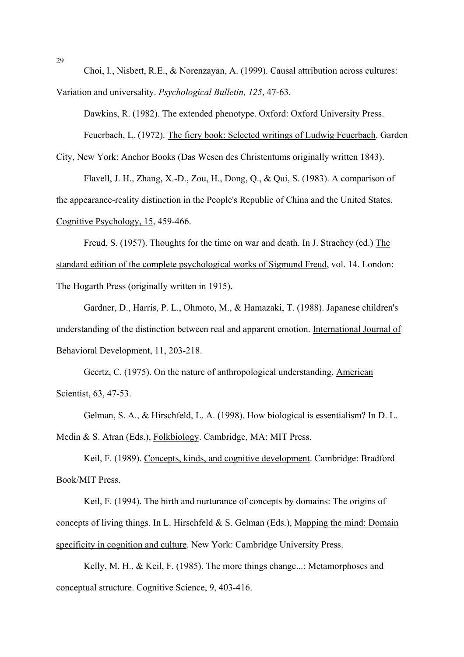Choi, I., Nisbett, R.E., & Norenzayan, A. (1999). Causal attribution across cultures: Variation and universality. *Psychological Bulletin, 125*, 47-63.

Dawkins, R. (1982). The extended phenotype. Oxford: Oxford University Press.

 Feuerbach, L. (1972). The fiery book: Selected writings of Ludwig Feuerbach. Garden City, New York: Anchor Books (Das Wesen des Christentums originally written 1843).

 Flavell, J. H., Zhang, X.-D., Zou, H., Dong, Q., & Qui, S. (1983). A comparison of the appearance-reality distinction in the People's Republic of China and the United States. Cognitive Psychology, 15, 459-466.

 Freud, S. (1957). Thoughts for the time on war and death. In J. Strachey (ed.) The standard edition of the complete psychological works of Sigmund Freud, vol. 14. London: The Hogarth Press (originally written in 1915).

 Gardner, D., Harris, P. L., Ohmoto, M., & Hamazaki, T. (1988). Japanese children's understanding of the distinction between real and apparent emotion. International Journal of Behavioral Development, 11, 203-218.

 Geertz, C. (1975). On the nature of anthropological understanding. American Scientist, 63, 47-53.

 Gelman, S. A., & Hirschfeld, L. A. (1998). How biological is essentialism? In D. L. Medin & S. Atran (Eds.), Folkbiology. Cambridge, MA: MIT Press.

 Keil, F. (1989). Concepts, kinds, and cognitive development. Cambridge: Bradford Book/MIT Press.

 Keil, F. (1994). The birth and nurturance of concepts by domains: The origins of concepts of living things. In L. Hirschfeld  $& S.$  Gelman (Eds.), Mapping the mind: Domain specificity in cognition and culture. New York: Cambridge University Press.

 Kelly, M. H., & Keil, F. (1985). The more things change...: Metamorphoses and conceptual structure. Cognitive Science, 9, 403-416.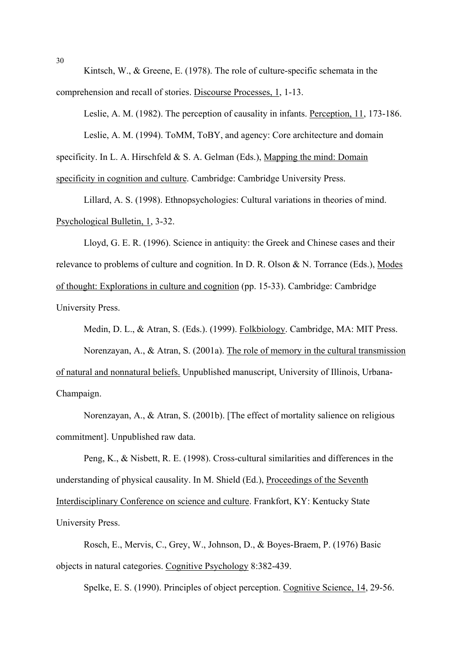Kintsch, W., & Greene, E. (1978). The role of culture-specific schemata in the comprehension and recall of stories. Discourse Processes, 1, 1-13.

 Leslie, A. M. (1982). The perception of causality in infants. Perception, 11, 173-186. Leslie, A. M. (1994). ToMM, ToBY, and agency: Core architecture and domain specificity. In L. A. Hirschfeld  $& S. A.$  Gelman (Eds.), Mapping the mind: Domain

specificity in cognition and culture. Cambridge: Cambridge University Press.

 Lillard, A. S. (1998). Ethnopsychologies: Cultural variations in theories of mind. Psychological Bulletin, 1, 3-32.

 Lloyd, G. E. R. (1996). Science in antiquity: the Greek and Chinese cases and their relevance to problems of culture and cognition. In D. R. Olson & N. Torrance (Eds.), Modes of thought: Explorations in culture and cognition (pp. 15-33). Cambridge: Cambridge University Press.

Medin, D. L., & Atran, S. (Eds.). (1999). Folkbiology. Cambridge, MA: MIT Press.

 Norenzayan, A., & Atran, S. (2001a). The role of memory in the cultural transmission of natural and nonnatural beliefs. Unpublished manuscript, University of Illinois, Urbana-Champaign.

 Norenzayan, A., & Atran, S. (2001b). [The effect of mortality salience on religious commitment]. Unpublished raw data.

 Peng, K., & Nisbett, R. E. (1998). Cross-cultural similarities and differences in the understanding of physical causality. In M. Shield (Ed.), Proceedings of the Seventh Interdisciplinary Conference on science and culture. Frankfort, KY: Kentucky State University Press.

 Rosch, E., Mervis, C., Grey, W., Johnson, D., & Boyes-Braem, P. (1976) Basic objects in natural categories. Cognitive Psychology 8:382-439.

Spelke, E. S. (1990). Principles of object perception. Cognitive Science, 14, 29-56.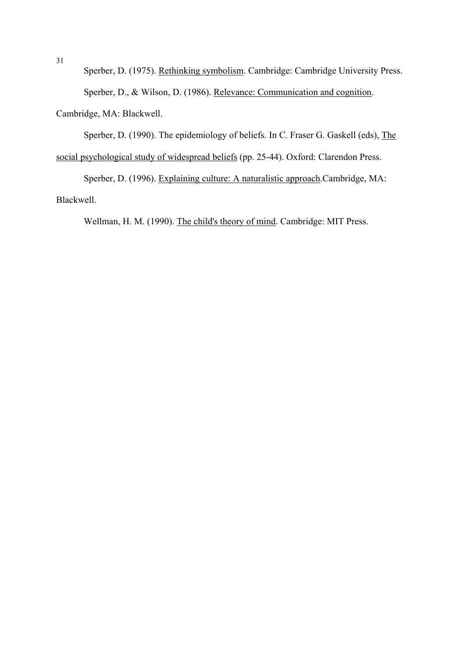Sperber, D. (1975). Rethinking symbolism. Cambridge: Cambridge University Press. Sperber, D., & Wilson, D. (1986). Relevance: Communication and cognition.

Cambridge, MA: Blackwell.

Sperber, D. (1990). The epidemiology of beliefs. In C. Fraser G. Gaskell (eds), The social psychological study of widespread beliefs (pp. 25-44). Oxford: Clarendon Press.

 Sperber, D. (1996). Explaining culture: A naturalistic approach.Cambridge, MA: Blackwell.

Wellman, H. M. (1990). The child's theory of mind. Cambridge: MIT Press.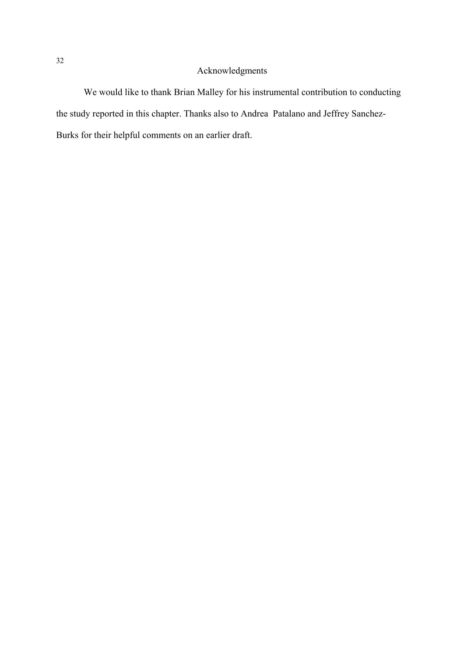# Acknowledgments

 We would like to thank Brian Malley for his instrumental contribution to conducting the study reported in this chapter. Thanks also to Andrea Patalano and Jeffrey Sanchez-Burks for their helpful comments on an earlier draft.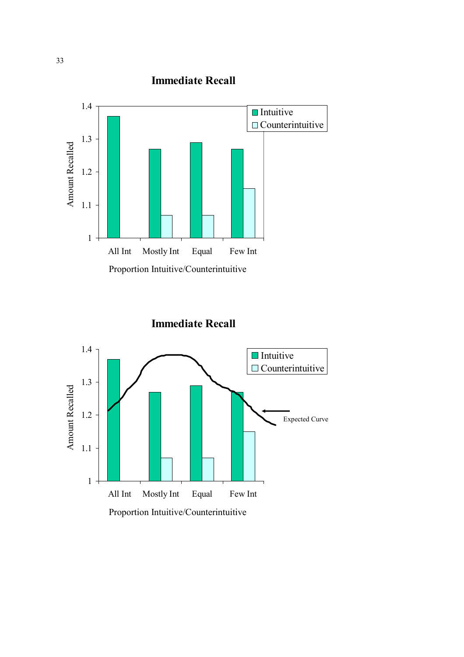



**Immediate Recall**